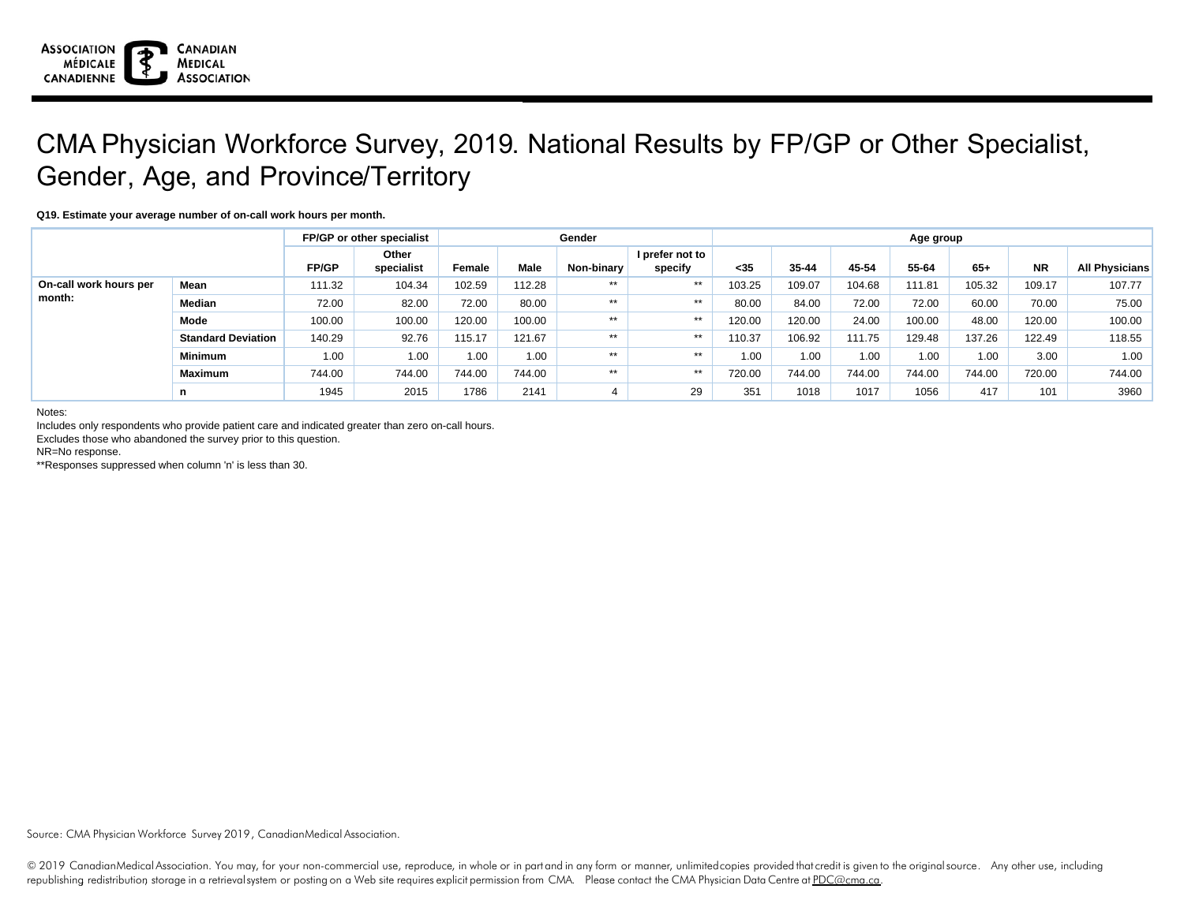

## CMA Physician Workforce Survey, 2019. National Results by FP/GP or Other Specialist, Gender, Age, and Province/Territory

## **Q19. Estimate your average number of on-call work hours per month.**

|                                  |                           | FP/GP or other specialist |                     |        |        | Gender     | Age group                  |        |        |        |        |        |           |                       |
|----------------------------------|---------------------------|---------------------------|---------------------|--------|--------|------------|----------------------------|--------|--------|--------|--------|--------|-----------|-----------------------|
|                                  |                           | <b>FP/GP</b>              | Other<br>specialist | Female | Male   | Non-binary | I prefer not to<br>specify | $35$   | 35-44  | 45-54  | 55-64  | $65+$  | <b>NR</b> | <b>All Physicians</b> |
| On-call work hours per<br>month: | Mean                      | 111.32                    | 104.34              | 102.59 | 112.28 | $***$      | $***$                      | 103.25 | 109.07 | 104.68 | 111.81 | 105.32 | 109.17    | 107.77                |
|                                  | Median                    | 72.00                     | 82.00               | 72.00  | 80.00  | $***$      | $***$                      | 80.00  | 84.00  | 72.00  | 72.00  | 60.00  | 70.00     | 75.00                 |
|                                  | Mode                      | 100.00                    | 100.00              | 120.00 | 100.00 | $***$      | $***$                      | 120.00 | 120.00 | 24.00  | 100.00 | 48.00  | 120.00    | 100.00                |
|                                  | <b>Standard Deviation</b> | 140.29                    | 92.76               | 115.17 | 121.67 | $***$      | $***$                      | 110.37 | 106.92 | 111.75 | 129.48 | 137.26 | 122.49    | 118.55                |
|                                  | <b>Minimum</b>            | 1.00                      | 1.00                | 1.00   | 1.00   | $***$      | $***$                      | 1.00   | 1.00   | 1.00   | 1.00   | 1.00   | 3.00      | 1.00                  |
|                                  | <b>Maximum</b>            | 744.00                    | 744.00              | 744.00 | 744.00 | $***$      | $***$                      | 720.00 | 744.00 | 744.00 | 744.00 | 744.00 | 720.00    | 744.00                |
|                                  | n                         | 1945                      | 2015                | 1786   | 2141   |            | 29                         | 351    | 1018   | 1017   | 1056   | 417    | 101       | 3960                  |

Notes:

Includes only respondents who provide patient care and indicated greater than zero on-call hours.

Excludes those who abandoned the survey prior to this question.

NR=No response.

\*\*Responses suppressed when column 'n' is less than 30.

Source: CMA Physician Workforce Survey 2019, CanadianMedical Association.